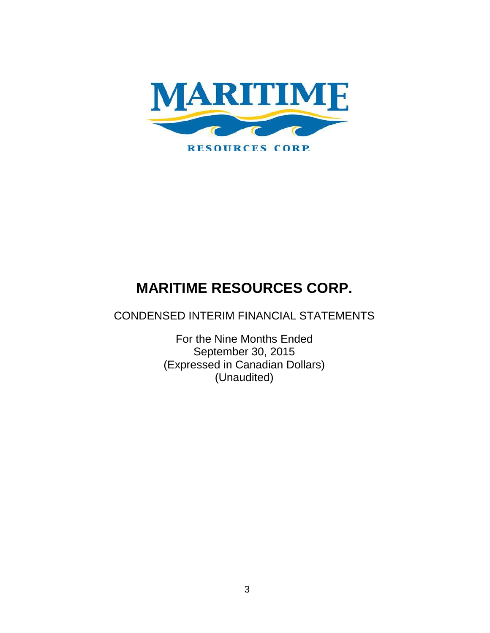

CONDENSED INTERIM FINANCIAL STATEMENTS

For the Nine Months Ended September 30, 2015 (Expressed in Canadian Dollars) (Unaudited)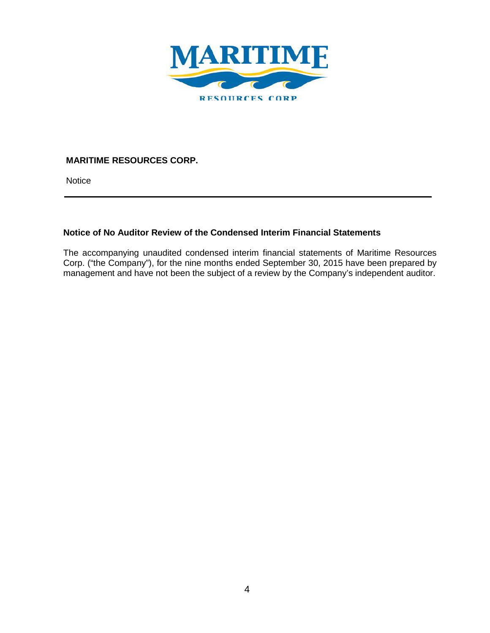

**Notice** 

# **Notice of No Auditor Review of the Condensed Interim Financial Statements**

The accompanying unaudited condensed interim financial statements of Maritime Resources Corp. ("the Company"), for the nine months ended September 30, 2015 have been prepared by management and have not been the subject of a review by the Company's independent auditor.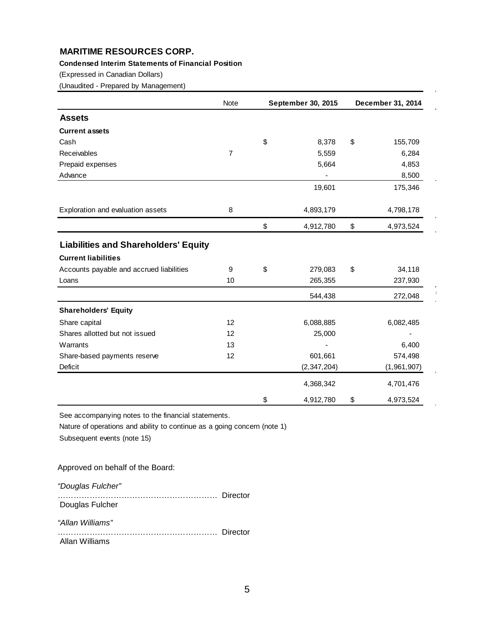#### **Condensed Interim Statements of Financial Position**

(Expressed in Canadian Dollars)

(Unaudited - Prepared by Management)

|                                             | <b>Note</b>    | <b>September 30, 2015</b> |                                           | December 31, 2014 |
|---------------------------------------------|----------------|---------------------------|-------------------------------------------|-------------------|
| <b>Assets</b>                               |                |                           |                                           |                   |
| <b>Current assets</b>                       |                |                           |                                           |                   |
| Cash                                        |                | \$<br>8,378               | \$                                        | 155,709           |
| Receivables                                 | $\overline{7}$ | 5,559                     |                                           | 6,284             |
| Prepaid expenses                            |                | 5,664                     |                                           | 4,853             |
| Advance                                     |                |                           |                                           | 8,500             |
|                                             |                | 19,601                    |                                           | 175,346           |
| Exploration and evaluation assets           | 8              | 4,893,179                 |                                           | 4,798,178         |
|                                             |                | \$<br>4,912,780           | $\, \, \raisebox{12pt}{$\scriptstyle \$}$ | 4,973,524         |
| <b>Liabilities and Shareholders' Equity</b> |                |                           |                                           |                   |
| <b>Current liabilities</b>                  |                |                           |                                           |                   |
| Accounts payable and accrued liabilities    | 9              | \$<br>279,083             | \$                                        | 34,118            |
| Loans                                       | 10             | 265,355                   |                                           | 237,930           |
|                                             |                | 544,438                   |                                           | 272,048           |
| <b>Shareholders' Equity</b>                 |                |                           |                                           |                   |
| Share capital                               | 12             | 6,088,885                 |                                           | 6,082,485         |
| Shares allotted but not issued              | 12             | 25,000                    |                                           |                   |
| Warrants                                    | 13             |                           |                                           | 6,400             |
| Share-based payments reserve                | 12             | 601,661                   |                                           | 574,498           |
| Deficit                                     |                | (2,347,204)               |                                           | (1,961,907)       |
|                                             |                | 4,368,342                 |                                           | 4,701,476         |
|                                             |                | \$<br>4,912,780           | \$                                        | 4,973,524         |

See accompanying notes to the financial statements.

Nature of operations and ability to continue as a going concern (note 1) Subsequent events (note 15)

Approved on behalf of the Board:

*"Douglas Fulcher"*

…………………………………………………… Director Douglas Fulcher

*"Allan Williams"*

…………………………………………………… Director Allan Williams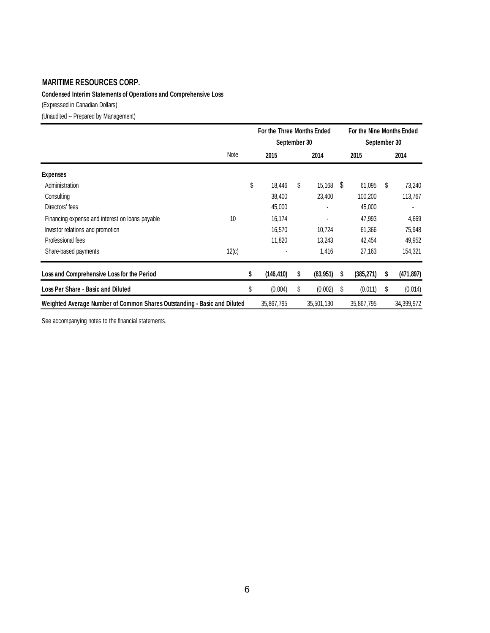**Condensed Interim Statements of Operations and Comprehensive Loss**

(Expressed in Canadian Dollars)

(Unaudited -- Prepared by Management)

|                                                                          | For the Three Months Ended<br>September 30 |    |             |   | For the Nine Months Ended<br>September 30 |   |            |
|--------------------------------------------------------------------------|--------------------------------------------|----|-------------|---|-------------------------------------------|---|------------|
| Note                                                                     | 2015                                       |    | 2014        |   | 2015                                      |   | 2014       |
| <b>Expenses</b>                                                          |                                            |    |             |   |                                           |   |            |
| Administration                                                           | \$<br>18,446                               | S  | $15,168$ \$ |   | 61,095                                    | S | 73,240     |
| Consulting                                                               | 38,400                                     |    | 23,400      |   | 100,200                                   |   | 113,767    |
| Directors' fees                                                          | 45,000                                     |    |             |   | 45,000                                    |   |            |
| 10<br>Financing expense and interest on loans payable                    | 16,174                                     |    |             |   | 47,993                                    |   | 4,669      |
| Investor relations and promotion                                         | 16,570                                     |    | 10,724      |   | 61,366                                    |   | 75,948     |
| Professional fees                                                        | 11,820                                     |    | 13,243      |   | 42,454                                    |   | 49,952     |
| 12(c)<br>Share-based payments                                            |                                            |    | 1,416       |   | 27,163                                    |   | 154,321    |
| Loss and Comprehensive Loss for the Period                               | \$<br>(146, 410)                           | \$ | (63, 951)   | s | (385, 271)                                | S | (471, 897) |
| Loss Per Share - Basic and Diluted                                       | \$<br>(0.004)                              | \$ | (0.002)     | S | (0.011)                                   | S | (0.014)    |
| Weighted Average Number of Common Shares Outstanding - Basic and Diluted | 35,867,795                                 |    | 35,501,130  |   | 35,867,795                                |   | 34,399,972 |

See accompanying notes to the financial statements.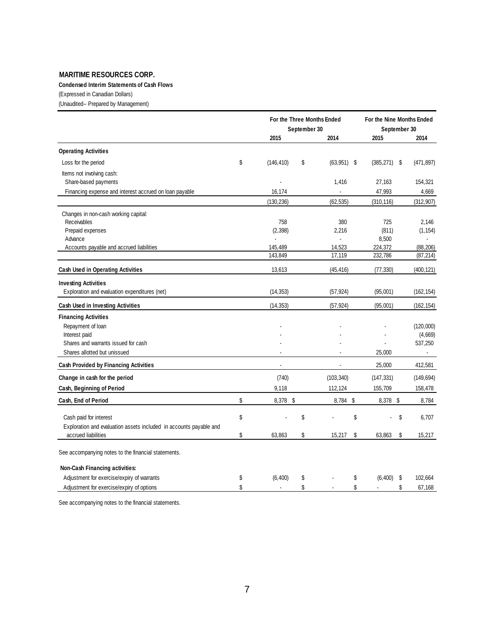#### **Condensed Interim Statements of Cash Flows**

(Expressed in Canadian Dollars)

(Unaudited-- Prepared by Management)

| 2015<br>2014<br>2014<br>2015<br><b>Operating Activities</b><br>\$<br>Loss for the period<br>(146, 410)<br>\$<br>$(63,951)$ \$<br>(385, 271)<br>(471, 897)<br>\$<br>Items not involving cash:<br>Share-based payments<br>1,416<br>27,163<br>154,321<br>Financing expense and interest accrued on loan payable<br>47,993<br>4,669<br>16,174<br>(130, 236)<br>(62, 535)<br>(310, 116)<br>(312, 907)<br>Changes in non-cash working capital:<br>Receivables<br>758<br>380<br>725<br>2,146<br>Prepaid expenses<br>(2, 398)<br>(811)<br>2,216<br>(1, 154)<br>Advance<br>8,500<br>$\ddot{\phantom{a}}$<br>$\blacksquare$<br>Accounts payable and accrued liabilities<br>14,523<br>224,372<br>145,489<br>(88, 206)<br>17,119<br>232,786<br>143,849<br>(87, 214)<br>Cash Used in Operating Activities<br>13,613<br>(45, 416)<br>(77, 330)<br>(400, 121)<br><b>Investing Activities</b><br>Exploration and evaluation expenditures (net)<br>(14, 353)<br>(57, 924)<br>(95,001)<br>(162, 154)<br>(14, 353)<br>(57, 924)<br>(95,001)<br>(162, 154)<br>Cash Used in Investing Activities<br><b>Financing Activities</b><br>Repayment of loan<br>(120,000)<br>Interest paid<br>(4,669)<br>Shares and warrants issued for cash<br>537,250<br>Shares allotted but unissued<br>25,000<br>$\sim$<br><b>Cash Provided by Financing Activities</b><br>25,000<br>412,581<br>$\blacksquare$<br>$\sim$<br>Change in cash for the period<br>(740)<br>(103, 340)<br>(147, 331)<br>(149, 694)<br>9,118<br>155,709<br>Cash, Beginning of Period<br>112,124<br>158,478<br>\$<br>Cash, End of Period<br>8,378 \$<br>8,784 \$<br>8,378 \$<br>8,784<br>\$<br>\$<br>\$<br>\$<br>Cash paid for interest<br>6,707<br>Exploration and evaluation assets included in accounts payable and<br>\$<br>\$<br>accrued liabilities<br>63,863<br>15,217<br>\$<br>63,863<br>\$<br>15,217<br>See accompanying notes to the financial statements.<br>Non-Cash Financing activities:<br>(6, 400)<br>(6, 400)<br>Adjustment for exercise/expiry of warrants<br>\$<br>\$<br>\$<br>\$<br>102,664<br>\$<br>\$<br>Adjustment for exercise/expiry of options<br>\$<br>\$<br>67,168<br>$\overline{a}$<br>$\sim$ |  | For the Three Months Ended<br>September 30 |  |  | For the Nine Months Ended<br>September 30 |  |  |
|-----------------------------------------------------------------------------------------------------------------------------------------------------------------------------------------------------------------------------------------------------------------------------------------------------------------------------------------------------------------------------------------------------------------------------------------------------------------------------------------------------------------------------------------------------------------------------------------------------------------------------------------------------------------------------------------------------------------------------------------------------------------------------------------------------------------------------------------------------------------------------------------------------------------------------------------------------------------------------------------------------------------------------------------------------------------------------------------------------------------------------------------------------------------------------------------------------------------------------------------------------------------------------------------------------------------------------------------------------------------------------------------------------------------------------------------------------------------------------------------------------------------------------------------------------------------------------------------------------------------------------------------------------------------------------------------------------------------------------------------------------------------------------------------------------------------------------------------------------------------------------------------------------------------------------------------------------------------------------------------------------------------------------------------------------------------------------------------------------------------------------------------------------------|--|--------------------------------------------|--|--|-------------------------------------------|--|--|
|                                                                                                                                                                                                                                                                                                                                                                                                                                                                                                                                                                                                                                                                                                                                                                                                                                                                                                                                                                                                                                                                                                                                                                                                                                                                                                                                                                                                                                                                                                                                                                                                                                                                                                                                                                                                                                                                                                                                                                                                                                                                                                                                                           |  |                                            |  |  |                                           |  |  |
|                                                                                                                                                                                                                                                                                                                                                                                                                                                                                                                                                                                                                                                                                                                                                                                                                                                                                                                                                                                                                                                                                                                                                                                                                                                                                                                                                                                                                                                                                                                                                                                                                                                                                                                                                                                                                                                                                                                                                                                                                                                                                                                                                           |  |                                            |  |  |                                           |  |  |
|                                                                                                                                                                                                                                                                                                                                                                                                                                                                                                                                                                                                                                                                                                                                                                                                                                                                                                                                                                                                                                                                                                                                                                                                                                                                                                                                                                                                                                                                                                                                                                                                                                                                                                                                                                                                                                                                                                                                                                                                                                                                                                                                                           |  |                                            |  |  |                                           |  |  |
|                                                                                                                                                                                                                                                                                                                                                                                                                                                                                                                                                                                                                                                                                                                                                                                                                                                                                                                                                                                                                                                                                                                                                                                                                                                                                                                                                                                                                                                                                                                                                                                                                                                                                                                                                                                                                                                                                                                                                                                                                                                                                                                                                           |  |                                            |  |  |                                           |  |  |
|                                                                                                                                                                                                                                                                                                                                                                                                                                                                                                                                                                                                                                                                                                                                                                                                                                                                                                                                                                                                                                                                                                                                                                                                                                                                                                                                                                                                                                                                                                                                                                                                                                                                                                                                                                                                                                                                                                                                                                                                                                                                                                                                                           |  |                                            |  |  |                                           |  |  |
|                                                                                                                                                                                                                                                                                                                                                                                                                                                                                                                                                                                                                                                                                                                                                                                                                                                                                                                                                                                                                                                                                                                                                                                                                                                                                                                                                                                                                                                                                                                                                                                                                                                                                                                                                                                                                                                                                                                                                                                                                                                                                                                                                           |  |                                            |  |  |                                           |  |  |
|                                                                                                                                                                                                                                                                                                                                                                                                                                                                                                                                                                                                                                                                                                                                                                                                                                                                                                                                                                                                                                                                                                                                                                                                                                                                                                                                                                                                                                                                                                                                                                                                                                                                                                                                                                                                                                                                                                                                                                                                                                                                                                                                                           |  |                                            |  |  |                                           |  |  |
|                                                                                                                                                                                                                                                                                                                                                                                                                                                                                                                                                                                                                                                                                                                                                                                                                                                                                                                                                                                                                                                                                                                                                                                                                                                                                                                                                                                                                                                                                                                                                                                                                                                                                                                                                                                                                                                                                                                                                                                                                                                                                                                                                           |  |                                            |  |  |                                           |  |  |
|                                                                                                                                                                                                                                                                                                                                                                                                                                                                                                                                                                                                                                                                                                                                                                                                                                                                                                                                                                                                                                                                                                                                                                                                                                                                                                                                                                                                                                                                                                                                                                                                                                                                                                                                                                                                                                                                                                                                                                                                                                                                                                                                                           |  |                                            |  |  |                                           |  |  |
|                                                                                                                                                                                                                                                                                                                                                                                                                                                                                                                                                                                                                                                                                                                                                                                                                                                                                                                                                                                                                                                                                                                                                                                                                                                                                                                                                                                                                                                                                                                                                                                                                                                                                                                                                                                                                                                                                                                                                                                                                                                                                                                                                           |  |                                            |  |  |                                           |  |  |
|                                                                                                                                                                                                                                                                                                                                                                                                                                                                                                                                                                                                                                                                                                                                                                                                                                                                                                                                                                                                                                                                                                                                                                                                                                                                                                                                                                                                                                                                                                                                                                                                                                                                                                                                                                                                                                                                                                                                                                                                                                                                                                                                                           |  |                                            |  |  |                                           |  |  |
|                                                                                                                                                                                                                                                                                                                                                                                                                                                                                                                                                                                                                                                                                                                                                                                                                                                                                                                                                                                                                                                                                                                                                                                                                                                                                                                                                                                                                                                                                                                                                                                                                                                                                                                                                                                                                                                                                                                                                                                                                                                                                                                                                           |  |                                            |  |  |                                           |  |  |
|                                                                                                                                                                                                                                                                                                                                                                                                                                                                                                                                                                                                                                                                                                                                                                                                                                                                                                                                                                                                                                                                                                                                                                                                                                                                                                                                                                                                                                                                                                                                                                                                                                                                                                                                                                                                                                                                                                                                                                                                                                                                                                                                                           |  |                                            |  |  |                                           |  |  |
|                                                                                                                                                                                                                                                                                                                                                                                                                                                                                                                                                                                                                                                                                                                                                                                                                                                                                                                                                                                                                                                                                                                                                                                                                                                                                                                                                                                                                                                                                                                                                                                                                                                                                                                                                                                                                                                                                                                                                                                                                                                                                                                                                           |  |                                            |  |  |                                           |  |  |
|                                                                                                                                                                                                                                                                                                                                                                                                                                                                                                                                                                                                                                                                                                                                                                                                                                                                                                                                                                                                                                                                                                                                                                                                                                                                                                                                                                                                                                                                                                                                                                                                                                                                                                                                                                                                                                                                                                                                                                                                                                                                                                                                                           |  |                                            |  |  |                                           |  |  |
|                                                                                                                                                                                                                                                                                                                                                                                                                                                                                                                                                                                                                                                                                                                                                                                                                                                                                                                                                                                                                                                                                                                                                                                                                                                                                                                                                                                                                                                                                                                                                                                                                                                                                                                                                                                                                                                                                                                                                                                                                                                                                                                                                           |  |                                            |  |  |                                           |  |  |
|                                                                                                                                                                                                                                                                                                                                                                                                                                                                                                                                                                                                                                                                                                                                                                                                                                                                                                                                                                                                                                                                                                                                                                                                                                                                                                                                                                                                                                                                                                                                                                                                                                                                                                                                                                                                                                                                                                                                                                                                                                                                                                                                                           |  |                                            |  |  |                                           |  |  |
|                                                                                                                                                                                                                                                                                                                                                                                                                                                                                                                                                                                                                                                                                                                                                                                                                                                                                                                                                                                                                                                                                                                                                                                                                                                                                                                                                                                                                                                                                                                                                                                                                                                                                                                                                                                                                                                                                                                                                                                                                                                                                                                                                           |  |                                            |  |  |                                           |  |  |
|                                                                                                                                                                                                                                                                                                                                                                                                                                                                                                                                                                                                                                                                                                                                                                                                                                                                                                                                                                                                                                                                                                                                                                                                                                                                                                                                                                                                                                                                                                                                                                                                                                                                                                                                                                                                                                                                                                                                                                                                                                                                                                                                                           |  |                                            |  |  |                                           |  |  |
|                                                                                                                                                                                                                                                                                                                                                                                                                                                                                                                                                                                                                                                                                                                                                                                                                                                                                                                                                                                                                                                                                                                                                                                                                                                                                                                                                                                                                                                                                                                                                                                                                                                                                                                                                                                                                                                                                                                                                                                                                                                                                                                                                           |  |                                            |  |  |                                           |  |  |
|                                                                                                                                                                                                                                                                                                                                                                                                                                                                                                                                                                                                                                                                                                                                                                                                                                                                                                                                                                                                                                                                                                                                                                                                                                                                                                                                                                                                                                                                                                                                                                                                                                                                                                                                                                                                                                                                                                                                                                                                                                                                                                                                                           |  |                                            |  |  |                                           |  |  |
|                                                                                                                                                                                                                                                                                                                                                                                                                                                                                                                                                                                                                                                                                                                                                                                                                                                                                                                                                                                                                                                                                                                                                                                                                                                                                                                                                                                                                                                                                                                                                                                                                                                                                                                                                                                                                                                                                                                                                                                                                                                                                                                                                           |  |                                            |  |  |                                           |  |  |
|                                                                                                                                                                                                                                                                                                                                                                                                                                                                                                                                                                                                                                                                                                                                                                                                                                                                                                                                                                                                                                                                                                                                                                                                                                                                                                                                                                                                                                                                                                                                                                                                                                                                                                                                                                                                                                                                                                                                                                                                                                                                                                                                                           |  |                                            |  |  |                                           |  |  |
|                                                                                                                                                                                                                                                                                                                                                                                                                                                                                                                                                                                                                                                                                                                                                                                                                                                                                                                                                                                                                                                                                                                                                                                                                                                                                                                                                                                                                                                                                                                                                                                                                                                                                                                                                                                                                                                                                                                                                                                                                                                                                                                                                           |  |                                            |  |  |                                           |  |  |
|                                                                                                                                                                                                                                                                                                                                                                                                                                                                                                                                                                                                                                                                                                                                                                                                                                                                                                                                                                                                                                                                                                                                                                                                                                                                                                                                                                                                                                                                                                                                                                                                                                                                                                                                                                                                                                                                                                                                                                                                                                                                                                                                                           |  |                                            |  |  |                                           |  |  |
|                                                                                                                                                                                                                                                                                                                                                                                                                                                                                                                                                                                                                                                                                                                                                                                                                                                                                                                                                                                                                                                                                                                                                                                                                                                                                                                                                                                                                                                                                                                                                                                                                                                                                                                                                                                                                                                                                                                                                                                                                                                                                                                                                           |  |                                            |  |  |                                           |  |  |
|                                                                                                                                                                                                                                                                                                                                                                                                                                                                                                                                                                                                                                                                                                                                                                                                                                                                                                                                                                                                                                                                                                                                                                                                                                                                                                                                                                                                                                                                                                                                                                                                                                                                                                                                                                                                                                                                                                                                                                                                                                                                                                                                                           |  |                                            |  |  |                                           |  |  |
|                                                                                                                                                                                                                                                                                                                                                                                                                                                                                                                                                                                                                                                                                                                                                                                                                                                                                                                                                                                                                                                                                                                                                                                                                                                                                                                                                                                                                                                                                                                                                                                                                                                                                                                                                                                                                                                                                                                                                                                                                                                                                                                                                           |  |                                            |  |  |                                           |  |  |
|                                                                                                                                                                                                                                                                                                                                                                                                                                                                                                                                                                                                                                                                                                                                                                                                                                                                                                                                                                                                                                                                                                                                                                                                                                                                                                                                                                                                                                                                                                                                                                                                                                                                                                                                                                                                                                                                                                                                                                                                                                                                                                                                                           |  |                                            |  |  |                                           |  |  |
|                                                                                                                                                                                                                                                                                                                                                                                                                                                                                                                                                                                                                                                                                                                                                                                                                                                                                                                                                                                                                                                                                                                                                                                                                                                                                                                                                                                                                                                                                                                                                                                                                                                                                                                                                                                                                                                                                                                                                                                                                                                                                                                                                           |  |                                            |  |  |                                           |  |  |
|                                                                                                                                                                                                                                                                                                                                                                                                                                                                                                                                                                                                                                                                                                                                                                                                                                                                                                                                                                                                                                                                                                                                                                                                                                                                                                                                                                                                                                                                                                                                                                                                                                                                                                                                                                                                                                                                                                                                                                                                                                                                                                                                                           |  |                                            |  |  |                                           |  |  |
|                                                                                                                                                                                                                                                                                                                                                                                                                                                                                                                                                                                                                                                                                                                                                                                                                                                                                                                                                                                                                                                                                                                                                                                                                                                                                                                                                                                                                                                                                                                                                                                                                                                                                                                                                                                                                                                                                                                                                                                                                                                                                                                                                           |  |                                            |  |  |                                           |  |  |
|                                                                                                                                                                                                                                                                                                                                                                                                                                                                                                                                                                                                                                                                                                                                                                                                                                                                                                                                                                                                                                                                                                                                                                                                                                                                                                                                                                                                                                                                                                                                                                                                                                                                                                                                                                                                                                                                                                                                                                                                                                                                                                                                                           |  |                                            |  |  |                                           |  |  |

See accompanying notes to the financial statements.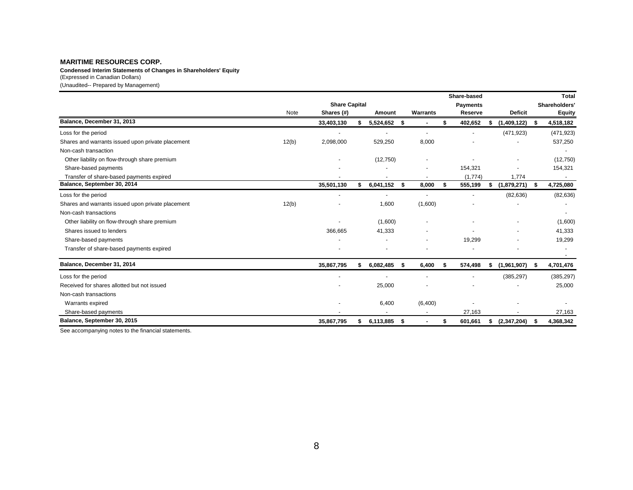(Expressed in Canadian Dollars) (Unaudited-- Prepared by Management) **Condensed Interim Statements of Changes in Shareholders' Equity**

|                                                   |                      |            |    |           |      |                 |      | Share-based |    |                          |      | <b>Total</b>  |
|---------------------------------------------------|----------------------|------------|----|-----------|------|-----------------|------|-------------|----|--------------------------|------|---------------|
|                                                   | <b>Share Capital</b> |            |    |           |      | <b>Payments</b> |      |             |    |                          |      | Shareholders' |
|                                                   | Note                 | Shares (#) |    | Amount    |      | Warrants        |      | Reserve     |    | <b>Deficit</b>           |      | <b>Equity</b> |
| Balance, December 31, 2013                        |                      | 33,403,130 |    | 5,524,652 | - \$ |                 | \$   | 402,652     | s  | (1,409,122)              | \$   | 4,518,182     |
| Loss for the period                               |                      |            |    |           |      | $\blacksquare$  |      |             |    | (471, 923)               |      | (471, 923)    |
| Shares and warrants issued upon private placement | 12(b)                | 2,098,000  |    | 529,250   |      | 8,000           |      |             |    |                          |      | 537,250       |
| Non-cash transaction                              |                      |            |    |           |      |                 |      |             |    |                          |      |               |
| Other liability on flow-through share premium     |                      |            |    | (12,750)  |      |                 |      |             |    |                          |      | (12,750)      |
| Share-based payments                              |                      |            |    |           |      |                 |      | 154,321     |    | ٠                        |      | 154,321       |
| Transfer of share-based payments expired          |                      |            |    |           |      |                 |      | (1,774)     |    | 1,774                    |      | ۰.            |
| Balance, September 30, 2014                       |                      | 35,501,130 | \$ | 6,041,152 | - \$ | 8,000           | - \$ | 555,199     | s. | (1,879,271)              | - \$ | 4,725,080     |
| Loss for the period                               |                      |            |    |           |      |                 |      |             |    | (82, 636)                |      | (82, 636)     |
| Shares and warrants issued upon private placement | 12(b)                |            |    | 1,600     |      | (1,600)         |      |             |    |                          |      |               |
| Non-cash transactions                             |                      |            |    |           |      |                 |      |             |    |                          |      |               |
| Other liability on flow-through share premium     |                      |            |    | (1,600)   |      |                 |      |             |    | ٠                        |      | (1,600)       |
| Shares issued to lenders                          |                      | 366,665    |    | 41,333    |      |                 |      |             |    | $\overline{\phantom{a}}$ |      | 41,333        |
| Share-based payments                              |                      |            |    |           |      |                 |      | 19,299      |    |                          |      | 19,299        |
| Transfer of share-based payments expired          |                      |            |    |           |      |                 |      |             |    |                          |      | ۰.            |
| Balance, December 31, 2014                        |                      | 35,867,795 |    | 6,082,485 | - \$ | 6,400           | S.   | 574,498     | s  | (1,961,907)              | - 56 | 4,701,476     |
| Loss for the period                               |                      |            |    |           |      |                 |      |             |    | (385, 297)               |      | (385, 297)    |
| Received for shares allotted but not issued       |                      |            |    | 25,000    |      |                 |      |             |    |                          |      | 25,000        |
| Non-cash transactions                             |                      |            |    |           |      |                 |      |             |    |                          |      |               |
| Warrants expired                                  |                      |            |    | 6,400     |      | (6,400)         |      |             |    |                          |      |               |
| Share-based payments                              |                      |            |    |           |      |                 |      | 27,163      |    |                          |      | 27,163        |
| Balance, September 30, 2015                       |                      | 35,867,795 | \$ | 6,113,885 | - \$ |                 | S    | 601,661     | \$ | (2,347,204)              | - 5  | 4,368,342     |

See accompanying notes to the financial statements.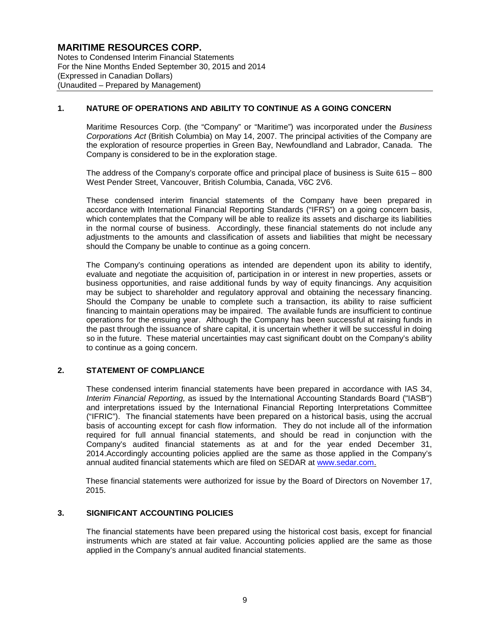Notes to Condensed Interim Financial Statements For the Nine Months Ended September 30, 2015 and 2014 (Expressed in Canadian Dollars) (Unaudited – Prepared by Management)

### **1. NATURE OF OPERATIONS AND ABILITY TO CONTINUE AS A GOING CONCERN**

Maritime Resources Corp. (the "Company" or "Maritime") was incorporated under the *Business Corporations Act* (British Columbia) on May 14, 2007. The principal activities of the Company are the exploration of resource properties in Green Bay, Newfoundland and Labrador, Canada. The Company is considered to be in the exploration stage.

The address of the Company's corporate office and principal place of business is Suite 615 – 800 West Pender Street, Vancouver, British Columbia, Canada, V6C 2V6.

These condensed interim financial statements of the Company have been prepared in accordance with International Financial Reporting Standards ("IFRS") on a going concern basis, which contemplates that the Company will be able to realize its assets and discharge its liabilities in the normal course of business. Accordingly, these financial statements do not include any adjustments to the amounts and classification of assets and liabilities that might be necessary should the Company be unable to continue as a going concern.

The Company's continuing operations as intended are dependent upon its ability to identify, evaluate and negotiate the acquisition of, participation in or interest in new properties, assets or business opportunities, and raise additional funds by way of equity financings. Any acquisition may be subject to shareholder and regulatory approval and obtaining the necessary financing. Should the Company be unable to complete such a transaction, its ability to raise sufficient financing to maintain operations may be impaired. The available funds are insufficient to continue operations for the ensuing year. Although the Company has been successful at raising funds in the past through the issuance of share capital, it is uncertain whether it will be successful in doing so in the future. These material uncertainties may cast significant doubt on the Company's ability to continue as a going concern.

### **2. STATEMENT OF COMPLIANCE**

These condensed interim financial statements have been prepared in accordance with IAS 34, *Interim Financial Reporting,* as issued by the International Accounting Standards Board ("IASB") and interpretations issued by the International Financial Reporting Interpretations Committee ("IFRIC"). The financial statements have been prepared on a historical basis, using the accrual basis of accounting except for cash flow information. They do not include all of the information required for full annual financial statements, and should be read in conjunction with the Company's audited financial statements as at and for the year ended December 31, 2014.Accordingly accounting policies applied are the same as those applied in the Company's annual audited financial statements which are filed on SEDAR at www.sedar.com.

These financial statements were authorized for issue by the Board of Directors on November 17, 2015.

#### **3. SIGNIFICANT ACCOUNTING POLICIES**

The financial statements have been prepared using the historical cost basis, except for financial instruments which are stated at fair value. Accounting policies applied are the same as those applied in the Company's annual audited financial statements.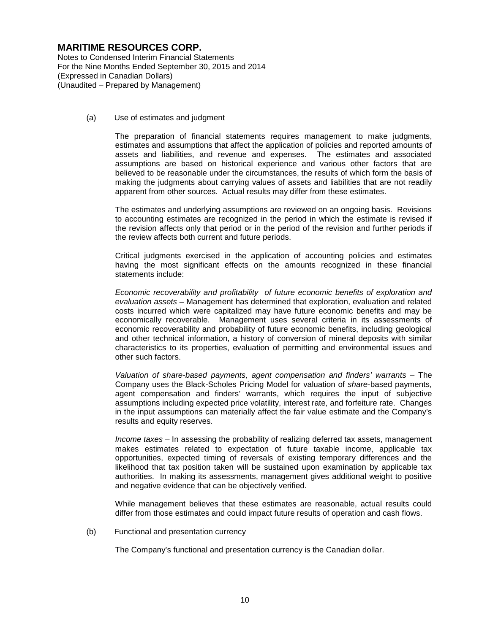Notes to Condensed Interim Financial Statements For the Nine Months Ended September 30, 2015 and 2014 (Expressed in Canadian Dollars) (Unaudited – Prepared by Management)

(a) Use of estimates and judgment

The preparation of financial statements requires management to make judgments, estimates and assumptions that affect the application of policies and reported amounts of assets and liabilities, and revenue and expenses. The estimates and associated assumptions are based on historical experience and various other factors that are believed to be reasonable under the circumstances, the results of which form the basis of making the judgments about carrying values of assets and liabilities that are not readily apparent from other sources. Actual results may differ from these estimates.

The estimates and underlying assumptions are reviewed on an ongoing basis. Revisions to accounting estimates are recognized in the period in which the estimate is revised if the revision affects only that period or in the period of the revision and further periods if the review affects both current and future periods.

Critical judgments exercised in the application of accounting policies and estimates having the most significant effects on the amounts recognized in these financial statements include:

*Economic recoverability and profitability of future economic benefits of exploration and evaluation assets* – Management has determined that exploration, evaluation and related costs incurred which were capitalized may have future economic benefits and may be economically recoverable. Management uses several criteria in its assessments of economic recoverability and probability of future economic benefits, including geological and other technical information, a history of conversion of mineral deposits with similar characteristics to its properties, evaluation of permitting and environmental issues and other such factors.

*Valuation of share-based payments, agent compensation and finders' warrants* – The Company uses the Black-Scholes Pricing Model for valuation of *share*-based payments, agent compensation and finders' warrants, which requires the input of subjective assumptions including expected price volatility, interest rate, and forfeiture rate. Changes in the input assumptions can materially affect the fair value estimate and the Company's results and equity reserves.

*Income taxes* – In assessing the probability of realizing deferred tax assets, management makes estimates related to expectation of future taxable income, applicable tax opportunities, expected timing of reversals of existing temporary differences and the likelihood that tax position taken will be sustained upon examination by applicable tax authorities. In making its assessments, management gives additional weight to positive and negative evidence that can be objectively verified.

While management believes that these estimates are reasonable, actual results could differ from those estimates and could impact future results of operation and cash flows.

(b) Functional and presentation currency

The Company's functional and presentation currency is the Canadian dollar.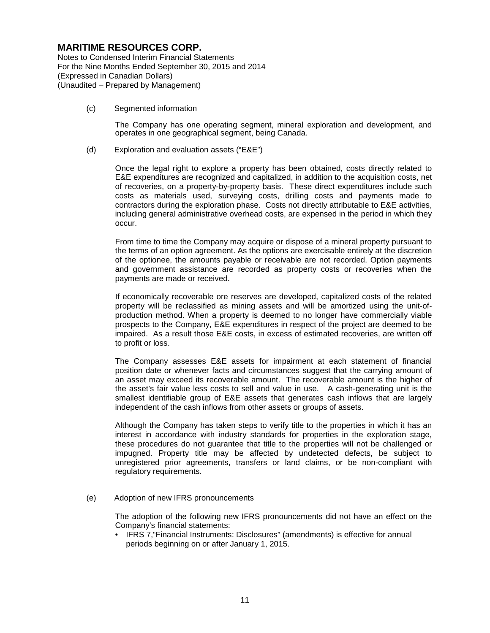Notes to Condensed Interim Financial Statements For the Nine Months Ended September 30, 2015 and 2014 (Expressed in Canadian Dollars) (Unaudited – Prepared by Management)

(c) Segmented information

The Company has one operating segment, mineral exploration and development, and operates in one geographical segment, being Canada.

(d) Exploration and evaluation assets ("E&E")

Once the legal right to explore a property has been obtained, costs directly related to E&E expenditures are recognized and capitalized, in addition to the acquisition costs, net of recoveries, on a property-by-property basis. These direct expenditures include such costs as materials used, surveying costs, drilling costs and payments made to contractors during the exploration phase. Costs not directly attributable to E&E activities, including general administrative overhead costs, are expensed in the period in which they occur.

From time to time the Company may acquire or dispose of a mineral property pursuant to the terms of an option agreement. As the options are exercisable entirely at the discretion of the optionee, the amounts payable or receivable are not recorded. Option payments and government assistance are recorded as property costs or recoveries when the payments are made or received.

If economically recoverable ore reserves are developed, capitalized costs of the related property will be reclassified as mining assets and will be amortized using the unit-ofproduction method. When a property is deemed to no longer have commercially viable prospects to the Company, E&E expenditures in respect of the project are deemed to be impaired. As a result those E&E costs, in excess of estimated recoveries, are written off to profit or loss.

The Company assesses E&E assets for impairment at each statement of financial position date or whenever facts and circumstances suggest that the carrying amount of an asset may exceed its recoverable amount. The recoverable amount is the higher of the asset's fair value less costs to sell and value in use. A cash-generating unit is the smallest identifiable group of E&E assets that generates cash inflows that are largely independent of the cash inflows from other assets or groups of assets.

Although the Company has taken steps to verify title to the properties in which it has an interest in accordance with industry standards for properties in the exploration stage, these procedures do not guarantee that title to the properties will not be challenged or impugned. Property title may be affected by undetected defects, be subject to unregistered prior agreements, transfers or land claims, or be non-compliant with regulatory requirements.

(e) Adoption of new IFRS pronouncements

The adoption of the following new IFRS pronouncements did not have an effect on the Company's financial statements:

• IFRS 7,"Financial Instruments: Disclosures" (amendments) is effective for annual periods beginning on or after January 1, 2015.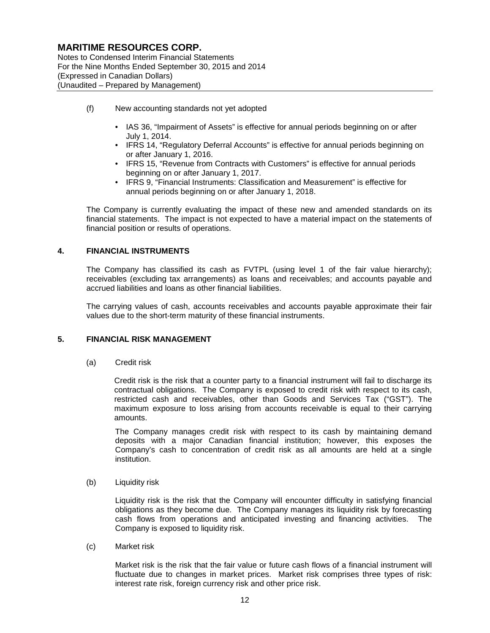Notes to Condensed Interim Financial Statements For the Nine Months Ended September 30, 2015 and 2014 (Expressed in Canadian Dollars) (Unaudited – Prepared by Management)

- (f) New accounting standards not yet adopted
	- IAS 36, "Impairment of Assets" is effective for annual periods beginning on or after July 1, 2014.
	- IFRS 14, "Regulatory Deferral Accounts" is effective for annual periods beginning on or after January 1, 2016.
	- IFRS 15, "Revenue from Contracts with Customers" is effective for annual periods beginning on or after January 1, 2017.
	- IFRS 9, "Financial Instruments: Classification and Measurement" is effective for annual periods beginning on or after January 1, 2018.

The Company is currently evaluating the impact of these new and amended standards on its financial statements. The impact is not expected to have a material impact on the statements of financial position or results of operations.

### **4. FINANCIAL INSTRUMENTS**

The Company has classified its cash as FVTPL (using level 1 of the fair value hierarchy); receivables (excluding tax arrangements) as loans and receivables; and accounts payable and accrued liabilities and loans as other financial liabilities.

The carrying values of cash, accounts receivables and accounts payable approximate their fair values due to the short-term maturity of these financial instruments.

#### **5. FINANCIAL RISK MANAGEMENT**

(a) Credit risk

Credit risk is the risk that a counter party to a financial instrument will fail to discharge its contractual obligations. The Company is exposed to credit risk with respect to its cash, restricted cash and receivables, other than Goods and Services Tax ("GST"). The maximum exposure to loss arising from accounts receivable is equal to their carrying amounts.

The Company manages credit risk with respect to its cash by maintaining demand deposits with a major Canadian financial institution; however, this exposes the Company's cash to concentration of credit risk as all amounts are held at a single institution.

(b) Liquidity risk

Liquidity risk is the risk that the Company will encounter difficulty in satisfying financial obligations as they become due. The Company manages its liquidity risk by forecasting cash flows from operations and anticipated investing and financing activities. The Company is exposed to liquidity risk.

(c) Market risk

Market risk is the risk that the fair value or future cash flows of a financial instrument will fluctuate due to changes in market prices. Market risk comprises three types of risk: interest rate risk, foreign currency risk and other price risk.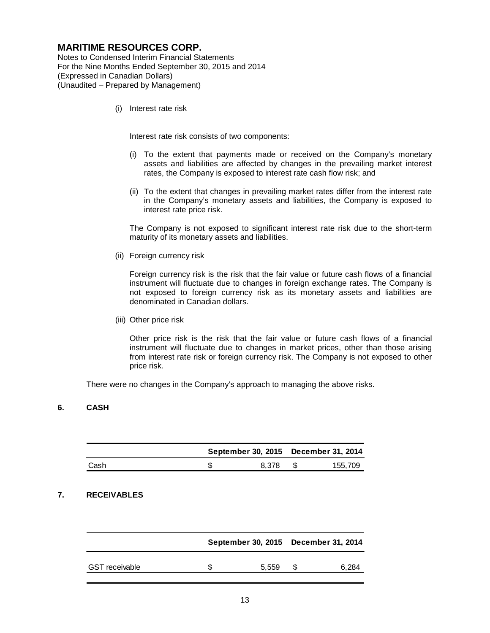Notes to Condensed Interim Financial Statements For the Nine Months Ended September 30, 2015 and 2014 (Expressed in Canadian Dollars) (Unaudited – Prepared by Management)

(i) Interest rate risk

Interest rate risk consists of two components:

- (i) To the extent that payments made or received on the Company's monetary assets and liabilities are affected by changes in the prevailing market interest rates, the Company is exposed to interest rate cash flow risk; and
- (ii) To the extent that changes in prevailing market rates differ from the interest rate in the Company's monetary assets and liabilities, the Company is exposed to interest rate price risk.

The Company is not exposed to significant interest rate risk due to the short-term maturity of its monetary assets and liabilities.

(ii) Foreign currency risk

Foreign currency risk is the risk that the fair value or future cash flows of a financial instrument will fluctuate due to changes in foreign exchange rates. The Company is not exposed to foreign currency risk as its monetary assets and liabilities are denominated in Canadian dollars.

(iii) Other price risk

Other price risk is the risk that the fair value or future cash flows of a financial instrument will fluctuate due to changes in market prices, other than those arising from interest rate risk or foreign currency risk. The Company is not exposed to other price risk.

There were no changes in the Company's approach to managing the above risks.

#### **6. CASH**

|      |       | September 30, 2015 December 31, 2014 |
|------|-------|--------------------------------------|
| Cash | 8.378 | 155.709                              |

### **7. RECEIVABLES**

|                       | September 30, 2015 December 31, 2014 |       |
|-----------------------|--------------------------------------|-------|
| <b>GST</b> receivable | 5.559                                | 6.284 |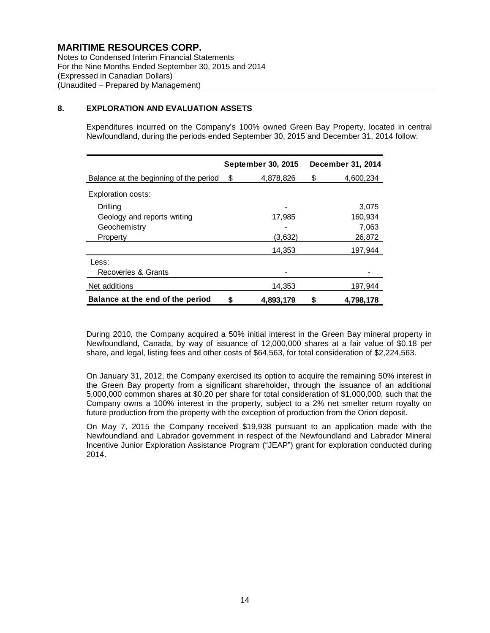Notes to Condensed Interim Financial Statements For the Nine Months Ended September 30, 2015 and 2014 (Expressed in Canadian Dollars) (Unaudited – Prepared by Management)

#### **8. EXPLORATION AND EVALUATION ASSETS**

Expenditures incurred on the Company's 100% owned Green Bay Property, located in central Newfoundland, during the periods ended September 30, 2015 and December 31, 2014 follow:

|                                        |    | September 30, 2015 |    | December 31, 2014 |
|----------------------------------------|----|--------------------|----|-------------------|
| Balance at the beginning of the period | \$ | 4,878,826          | \$ | 4,600,234         |
| Exploration costs:                     |    |                    |    |                   |
| Drilling                               |    |                    |    | 3,075             |
| Geology and reports writing            |    | 17,985             |    | 160,934           |
| Geochemistry                           |    |                    |    | 7,063             |
| Property                               |    | (3,632)            |    | 26,872            |
|                                        |    | 14,353             |    | 197,944           |
| Less:                                  |    |                    |    |                   |
| Recoveries & Grants                    |    |                    |    |                   |
| Net additions                          |    | 14,353             |    | 197,944           |
| Balance at the end of the period       | S  | 4.893.179          | S  | 4,798,178         |

During 2010, the Company acquired a 50% initial interest in the Green Bay mineral property in Newfoundland, Canada, by way of issuance of 12,000,000 shares at a fair value of \$0.18 per share, and legal, listing fees and other costs of \$64,563, for total consideration of \$2,224,563.

On January 31, 2012, the Company exercised its option to acquire the remaining 50% interest in the Green Bay property from a significant shareholder, through the issuance of an additional 5,000,000 common shares at \$0.20 per share for total consideration of \$1,000,000, such that the Company owns a 100% interest in the property, subject to a 2% net smelter return royalty on future production from the property with the exception of production from the Orion deposit.

On May 7, 2015 the Company received \$19,938 pursuant to an application made with the Newfoundland and Labrador government in respect of the Newfoundland and Labrador Mineral Incentive Junior Exploration Assistance Program ("JEAP") grant for exploration conducted during 2014.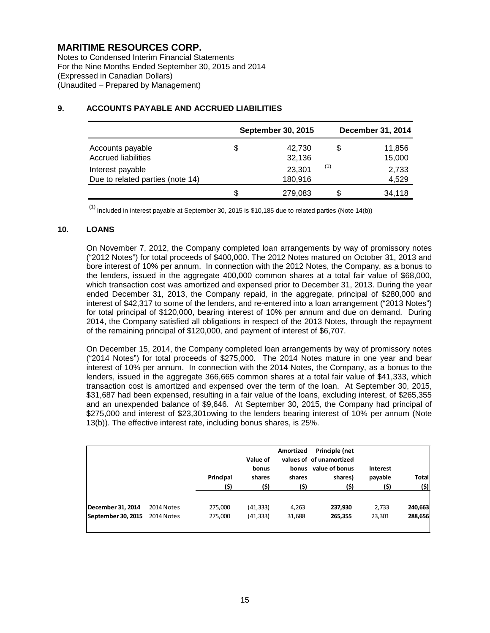Notes to Condensed Interim Financial Statements For the Nine Months Ended September 30, 2015 and 2014 (Expressed in Canadian Dollars) (Unaudited – Prepared by Management)

|                                                      | <b>September 30, 2015</b> |     | <b>December 31, 2014</b> |
|------------------------------------------------------|---------------------------|-----|--------------------------|
| Accounts payable<br><b>Accrued liabilities</b>       | \$<br>42,730<br>32,136    | \$  | 11,856<br>15,000         |
| Interest payable<br>Due to related parties (note 14) | 23,301<br>180,916         | (1) | 2,733<br>4,529           |
|                                                      | \$<br>279,083             |     | 34,118                   |

### **9. ACCOUNTS PAYABLE AND ACCRUED LIABILITIES**

 $<sup>(1)</sup>$  Included in interest payable at September 30, 2015 is \$10,185 due to related parties (Note 14(b))</sup>

### **10. LOANS**

On November 7, 2012, the Company completed loan arrangements by way of promissory notes ("2012 Notes") for total proceeds of \$400,000. The 2012 Notes matured on October 31, 2013 and bore interest of 10% per annum. In connection with the 2012 Notes, the Company, as a bonus to the lenders, issued in the aggregate 400,000 common shares at a total fair value of \$68,000, which transaction cost was amortized and expensed prior to December 31, 2013. During the year ended December 31, 2013, the Company repaid, in the aggregate, principal of \$280,000 and interest of \$42,317 to some of the lenders, and re-entered into a loan arrangement ("2013 Notes") for total principal of \$120,000, bearing interest of 10% per annum and due on demand. During 2014, the Company satisfied all obligations in respect of the 2013 Notes, through the repayment of the remaining principal of \$120,000, and payment of interest of \$6,707.

On December 15, 2014, the Company completed loan arrangements by way of promissory notes ("2014 Notes") for total proceeds of \$275,000. The 2014 Notes mature in one year and bear interest of 10% per annum. In connection with the 2014 Notes, the Company, as a bonus to the lenders, issued in the aggregate 366,665 common shares at a total fair value of \$41,333, which transaction cost is amortized and expensed over the term of the loan. At September 30, 2015, \$31,687 had been expensed, resulting in a fair value of the loans, excluding interest, of \$265,355 and an unexpended balance of \$9,646. At September 30, 2015, the Company had principal of \$275,000 and interest of \$23,301owing to the lenders bearing interest of 10% per annum (Note 13(b)). The effective interest rate, including bonus shares, is 25%.

|                    |            | Principal<br>(\$) | Value of<br>bonus<br>shares<br>(\$) | Amortized<br>bonus<br>shares<br>(\$) | Principle (net<br>values of of unamortized<br>value of bonus<br>shares)<br>(\$) | Interest<br>payable<br>(\$) | <b>Total</b><br>(\$) |
|--------------------|------------|-------------------|-------------------------------------|--------------------------------------|---------------------------------------------------------------------------------|-----------------------------|----------------------|
| December 31, 2014  | 2014 Notes | 275,000           | (41, 333)                           | 4,263                                | 237,930                                                                         | 2,733                       | 240,663              |
| September 30, 2015 | 2014 Notes | 275,000           | (41,333)                            | 31,688                               | 265,355                                                                         | 23,301                      | 288,656              |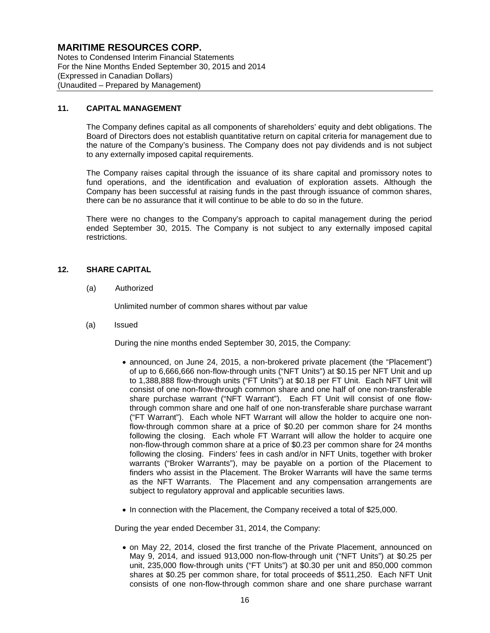Notes to Condensed Interim Financial Statements For the Nine Months Ended September 30, 2015 and 2014 (Expressed in Canadian Dollars) (Unaudited – Prepared by Management)

#### **11. CAPITAL MANAGEMENT**

The Company defines capital as all components of shareholders' equity and debt obligations. The Board of Directors does not establish quantitative return on capital criteria for management due to the nature of the Company's business. The Company does not pay dividends and is not subject to any externally imposed capital requirements.

The Company raises capital through the issuance of its share capital and promissory notes to fund operations, and the identification and evaluation of exploration assets. Although the Company has been successful at raising funds in the past through issuance of common shares, there can be no assurance that it will continue to be able to do so in the future.

There were no changes to the Company's approach to capital management during the period ended September 30, 2015. The Company is not subject to any externally imposed capital restrictions.

### **12. SHARE CAPITAL**

(a) Authorized

Unlimited number of common shares without par value

(a) Issued

During the nine months ended September 30, 2015, the Company:

- announced, on June 24, 2015, a non-brokered private placement (the "Placement") of up to 6,666,666 non-flow-through units ("NFT Units") at \$0.15 per NFT Unit and up to 1,388,888 flow-through units ("FT Units") at \$0.18 per FT Unit. Each NFT Unit will consist of one non-flow-through common share and one half of one non-transferable share purchase warrant ("NFT Warrant"). Each FT Unit will consist of one flowthrough common share and one half of one non-transferable share purchase warrant ("FT Warrant"). Each whole NFT Warrant will allow the holder to acquire one nonflow-through common share at a price of \$0.20 per common share for 24 months following the closing. Each whole FT Warrant will allow the holder to acquire one non-flow-through common share at a price of \$0.23 per common share for 24 months following the closing. Finders' fees in cash and/or in NFT Units, together with broker warrants ("Broker Warrants"), may be payable on a portion of the Placement to finders who assist in the Placement. The Broker Warrants will have the same terms as the NFT Warrants. The Placement and any compensation arrangements are subject to regulatory approval and applicable securities laws.
- In connection with the Placement, the Company received a total of \$25,000.

During the year ended December 31, 2014, the Company:

• on May 22, 2014, closed the first tranche of the Private Placement, announced on May 9, 2014, and issued 913,000 non-flow-through unit ("NFT Units") at \$0.25 per unit, 235,000 flow-through units ("FT Units") at \$0.30 per unit and 850,000 common shares at \$0.25 per common share, for total proceeds of \$511,250. Each NFT Unit consists of one non-flow-through common share and one share purchase warrant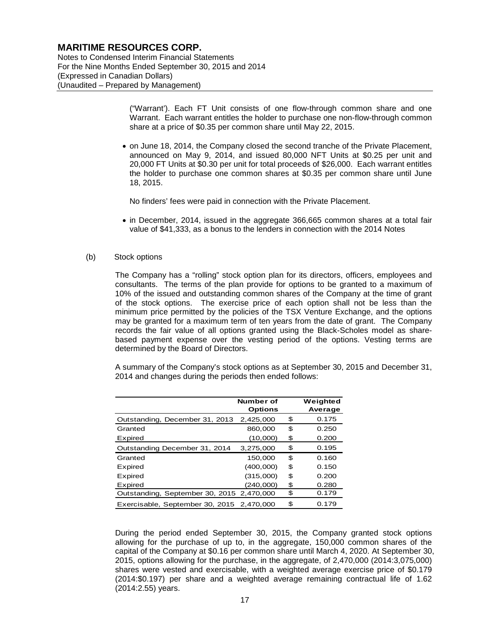Notes to Condensed Interim Financial Statements For the Nine Months Ended September 30, 2015 and 2014 (Expressed in Canadian Dollars) (Unaudited – Prepared by Management)

> ("Warrant'). Each FT Unit consists of one flow-through common share and one Warrant. Each warrant entitles the holder to purchase one non-flow-through common share at a price of \$0.35 per common share until May 22, 2015.

• on June 18, 2014, the Company closed the second tranche of the Private Placement, announced on May 9, 2014, and issued 80,000 NFT Units at \$0.25 per unit and 20,000 FT Units at \$0.30 per unit for total proceeds of \$26,000. Each warrant entitles the holder to purchase one common shares at \$0.35 per common share until June 18, 2015.

No finders' fees were paid in connection with the Private Placement.

• in December, 2014, issued in the aggregate 366,665 common shares at a total fair value of \$41,333, as a bonus to the lenders in connection with the 2014 Notes

#### (b) Stock options

The Company has a "rolling" stock option plan for its directors, officers, employees and consultants. The terms of the plan provide for options to be granted to a maximum of 10% of the issued and outstanding common shares of the Company at the time of grant of the stock options. The exercise price of each option shall not be less than the minimum price permitted by the policies of the TSX Venture Exchange, and the options may be granted for a maximum term of ten years from the date of grant. The Company records the fair value of all options granted using the Black-Scholes model as sharebased payment expense over the vesting period of the options. Vesting terms are determined by the Board of Directors.

A summary of the Company's stock options as at September 30, 2015 and December 31, 2014 and changes during the periods then ended follows:

|                                           | Number of<br><b>Options</b> | Weighted<br>Average |
|-------------------------------------------|-----------------------------|---------------------|
| Outstanding, December 31, 2013            | 2.425.000                   | \$<br>0.175         |
| Granted                                   | 860,000                     | \$<br>0.250         |
| Expired                                   | (10,000)                    | \$<br>0.200         |
| Outstanding December 31, 2014             | 3,275,000                   | \$<br>0.195         |
| Granted                                   | 150,000                     | \$<br>0.160         |
| Expired                                   | (400,000)                   | \$<br>0.150         |
| Expired                                   | (315,000)                   | \$<br>0.200         |
| Expired                                   | (240.000)                   | \$<br>0.280         |
| Outstanding, September 30, 2015 2,470,000 |                             | \$<br>0.179         |
| Exercisable, September 30, 2015 2,470,000 |                             | \$<br>0.179         |

During the period ended September 30, 2015, the Company granted stock options allowing for the purchase of up to, in the aggregate, 150,000 common shares of the capital of the Company at \$0.16 per common share until March 4, 2020. At September 30, 2015, options allowing for the purchase, in the aggregate, of 2,470,000 (2014:3,075,000) shares were vested and exercisable, with a weighted average exercise price of \$0.179 (2014:\$0.197) per share and a weighted average remaining contractual life of 1.62 (2014:2.55) years.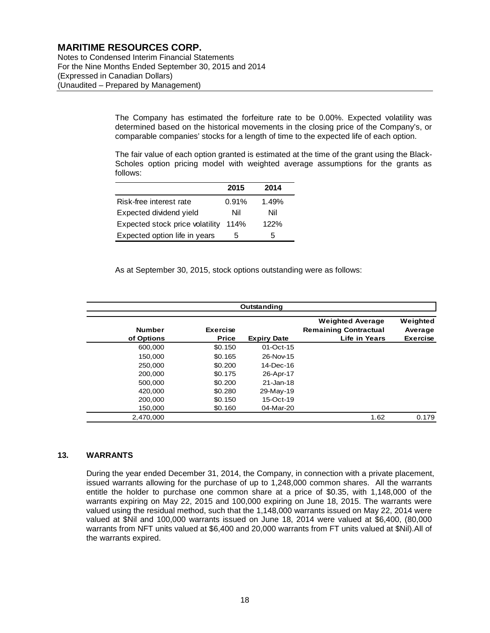Notes to Condensed Interim Financial Statements For the Nine Months Ended September 30, 2015 and 2014 (Expressed in Canadian Dollars) (Unaudited – Prepared by Management)

> The Company has estimated the forfeiture rate to be 0.00%. Expected volatility was determined based on the historical movements in the closing price of the Company's, or comparable companies' stocks for a length of time to the expected life of each option.

> The fair value of each option granted is estimated at the time of the grant using the Black-Scholes option pricing model with weighted average assumptions for the grants as follows:

|                                 | 2015  | 2014  |
|---------------------------------|-------|-------|
| Risk-free interest rate         | 0.91% | 1.49% |
| Expected dividend yield         | Nil   | Nil   |
| Expected stock price volatility | 114%  | 122%  |
| Expected option life in years   | 5     | 5     |

As at September 30, 2015, stock options outstanding were as follows:

| Outstanding                 |                                 |                    |                                                                          |                                        |  |  |  |  |
|-----------------------------|---------------------------------|--------------------|--------------------------------------------------------------------------|----------------------------------------|--|--|--|--|
| <b>Number</b><br>of Options | <b>Exercise</b><br><b>Price</b> | <b>Expiry Date</b> | <b>Weighted Average</b><br><b>Remaining Contractual</b><br>Life in Years | Weighted<br>Average<br><b>Exercise</b> |  |  |  |  |
| 600,000                     | \$0.150                         | 01-Oct-15          |                                                                          |                                        |  |  |  |  |
| 150,000                     | \$0.165                         | 26-Nov-15          |                                                                          |                                        |  |  |  |  |
| 250,000                     | \$0.200                         | 14-Dec-16          |                                                                          |                                        |  |  |  |  |
| 200,000                     | \$0.175                         | 26-Apr-17          |                                                                          |                                        |  |  |  |  |
| 500,000                     | \$0.200                         | 21-Jan-18          |                                                                          |                                        |  |  |  |  |
| 420,000                     | \$0.280                         | 29-May-19          |                                                                          |                                        |  |  |  |  |
| 200,000                     | \$0.150                         | 15-Oct-19          |                                                                          |                                        |  |  |  |  |
| 150,000                     | \$0.160                         | 04-Mar-20          |                                                                          |                                        |  |  |  |  |
| 2,470,000                   |                                 |                    | 1.62                                                                     | 0.179                                  |  |  |  |  |

#### **13. WARRANTS**

During the year ended December 31, 2014, the Company, in connection with a private placement, issued warrants allowing for the purchase of up to 1,248,000 common shares. All the warrants entitle the holder to purchase one common share at a price of \$0.35, with 1,148,000 of the warrants expiring on May 22, 2015 and 100,000 expiring on June 18, 2015. The warrants were valued using the residual method, such that the 1,148,000 warrants issued on May 22, 2014 were valued at \$Nil and 100,000 warrants issued on June 18, 2014 were valued at \$6,400, (80,000 warrants from NFT units valued at \$6,400 and 20,000 warrants from FT units valued at \$Nil).All of the warrants expired.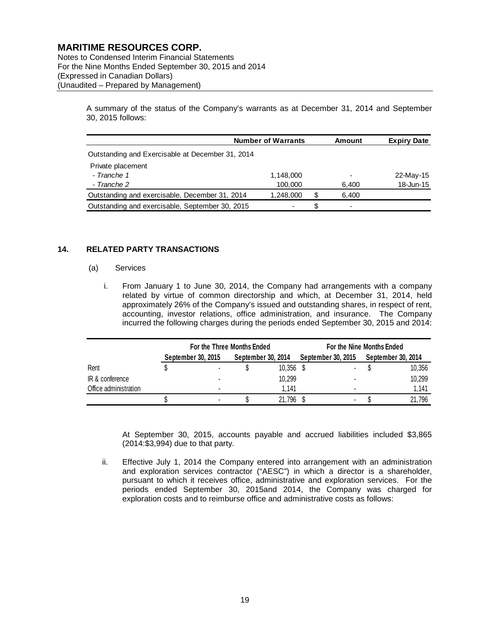Notes to Condensed Interim Financial Statements For the Nine Months Ended September 30, 2015 and 2014 (Expressed in Canadian Dollars) (Unaudited – Prepared by Management)

> A summary of the status of the Company's warrants as at December 31, 2014 and September 30, 2015 follows:

|                                                  | <b>Number of Warrants</b> |    | Amount                   | <b>Expiry Date</b> |
|--------------------------------------------------|---------------------------|----|--------------------------|--------------------|
| Outstanding and Exercisable at December 31, 2014 |                           |    |                          |                    |
| Private placement                                |                           |    |                          |                    |
| - Tranche 1                                      | 1,148,000                 |    |                          | 22-May-15          |
| - Tranche 2                                      | 100,000                   |    | 6,400                    | 18-Jun-15          |
| Outstanding and exercisable, December 31, 2014   | 1.248.000                 | S  | 6.400                    |                    |
| Outstanding and exercisable, September 30, 2015  |                           | S. | $\overline{\phantom{0}}$ |                    |

### **14. RELATED PARTY TRANSACTIONS**

#### (a) Services

i. From January 1 to June 30, 2014, the Company had arrangements with a company related by virtue of common directorship and which, at December 31, 2014, held approximately 26% of the Company's issued and outstanding shares, in respect of rent, accounting, investor relations, office administration, and insurance. The Company incurred the following charges during the periods ended September 30, 2015 and 2014:

|                       | For the Three Months Ended |                          |                    |        | For the Nine Months Ended |   |                    |        |  |
|-----------------------|----------------------------|--------------------------|--------------------|--------|---------------------------|---|--------------------|--------|--|
|                       |                            | September 30, 2015       | September 30, 2014 |        | September 30, 2015        |   | September 30, 2014 |        |  |
| Rent                  |                            | $\overline{\phantom{a}}$ |                    | 10.356 |                           |   |                    | 10,356 |  |
| IR & conference       |                            | $\blacksquare$           |                    | 10,299 |                           | ۰ |                    | 10,299 |  |
| Office administration |                            |                          |                    | 1.141  |                           |   |                    | 1,141  |  |
|                       |                            |                          |                    | 21,796 |                           |   |                    | 21.796 |  |

At September 30, 2015, accounts payable and accrued liabilities included \$3,865 (2014:\$3,994) due to that party.

ii. Effective July 1, 2014 the Company entered into arrangement with an administration and exploration services contractor ("AESC") in which a director is a shareholder, pursuant to which it receives office, administrative and exploration services. For the periods ended September 30, 2015and 2014, the Company was charged for exploration costs and to reimburse office and administrative costs as follows: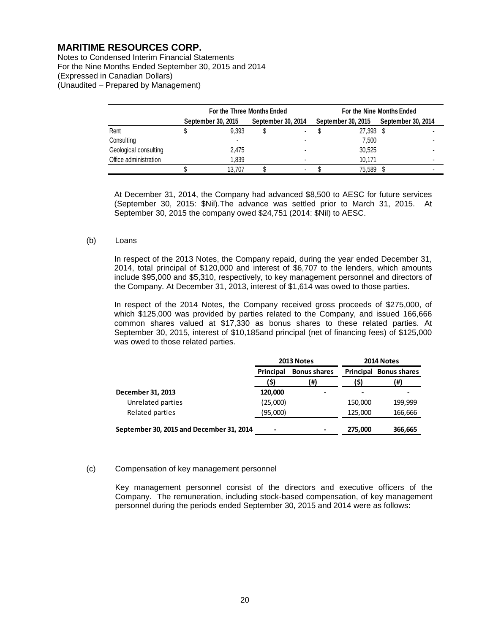Notes to Condensed Interim Financial Statements For the Nine Months Ended September 30, 2015 and 2014 (Expressed in Canadian Dollars) (Unaudited – Prepared by Management)

|                       | For the Three Months Ended |                    |                    |  | For the Nine Months Ended |                    |  |                           |
|-----------------------|----------------------------|--------------------|--------------------|--|---------------------------|--------------------|--|---------------------------|
|                       |                            | September 30, 2015 | September 30, 2014 |  |                           | September 30, 2015 |  | <b>September 30, 2014</b> |
| Rent                  |                            | 9.393              |                    |  |                           | 27,393 \$          |  |                           |
| Consulting            |                            |                    |                    |  |                           | 7.500              |  |                           |
| Geological consulting |                            | 2,475              |                    |  |                           | 30,525             |  |                           |
| Office administration |                            | 1.839              |                    |  |                           | 10.171             |  |                           |
|                       |                            | 13.707             |                    |  |                           | 75.589             |  |                           |

At December 31, 2014, the Company had advanced \$8,500 to AESC for future services (September 30, 2015: \$Nil).The advance was settled prior to March 31, 2015. At September 30, 2015 the company owed \$24,751 (2014: \$Nil) to AESC.

#### (b) Loans

In respect of the 2013 Notes, the Company repaid, during the year ended December 31, 2014, total principal of \$120,000 and interest of \$6,707 to the lenders, which amounts include \$95,000 and \$5,310, respectively, to key management personnel and directors of the Company. At December 31, 2013, interest of \$1,614 was owed to those parties.

In respect of the 2014 Notes, the Company received gross proceeds of \$275,000, of which \$125,000 was provided by parties related to the Company, and issued 166,666 common shares valued at \$17,330 as bonus shares to these related parties. At September 30, 2015, interest of \$10,185and principal (net of financing fees) of \$125,000 was owed to those related parties.

|                                          |                                         | 2013 Notes | 2014 Notes |                               |  |
|------------------------------------------|-----------------------------------------|------------|------------|-------------------------------|--|
|                                          | <b>Bonus shares</b><br><b>Principal</b> |            |            | <b>Principal Bonus shares</b> |  |
|                                          | (\$)                                    | (#)        | (\$)       | (#)                           |  |
| December 31, 2013                        | 120,000                                 |            |            |                               |  |
| Unrelated parties                        | (25,000)                                |            | 150,000    | 199,999                       |  |
| Related parties                          | (95,000)                                |            | 125,000    | 166,666                       |  |
| September 30, 2015 and December 31, 2014 | $\blacksquare$                          | -          | 275,000    | 366,665                       |  |

#### (c) Compensation of key management personnel

Key management personnel consist of the directors and executive officers of the Company. The remuneration, including stock-based compensation, of key management personnel during the periods ended September 30, 2015 and 2014 were as follows: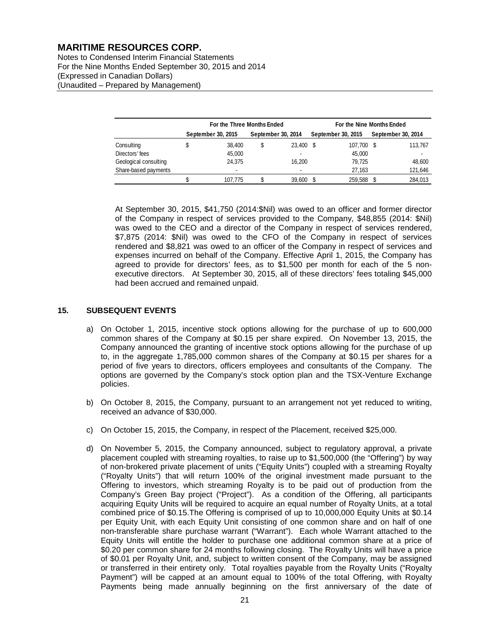Notes to Condensed Interim Financial Statements For the Nine Months Ended September 30, 2015 and 2014 (Expressed in Canadian Dollars) (Unaudited – Prepared by Management)

|                       | For the Three Months Ended |                    |  |                    | For the Nine Months Ended |                    |  |                    |
|-----------------------|----------------------------|--------------------|--|--------------------|---------------------------|--------------------|--|--------------------|
|                       |                            | September 30, 2015 |  | September 30, 2014 |                           | September 30, 2015 |  | September 30, 2014 |
| Consulting            |                            | 38.400             |  | 23,400             | - \$                      | 107,700 \$         |  | 113,767            |
| Directors' fees       |                            | 45,000             |  |                    |                           | 45,000             |  |                    |
| Geological consulting |                            | 24.375             |  | 16.200             |                           | 79.725             |  | 48.600             |
| Share-based payments  |                            | -                  |  |                    |                           | 27.163             |  | 121,646            |
|                       |                            | 107.775            |  | 39,600             |                           | 259.588            |  | 284.013            |

At September 30, 2015, \$41,750 (2014:\$Nil) was owed to an officer and former director of the Company in respect of services provided to the Company, \$48,855 (2014: \$Nil) was owed to the CEO and a director of the Company in respect of services rendered, \$7,875 (2014: \$Nil) was owed to the CFO of the Company in respect of services rendered and \$8,821 was owed to an officer of the Company in respect of services and expenses incurred on behalf of the Company. Effective April 1, 2015, the Company has agreed to provide for directors' fees, as to \$1,500 per month for each of the 5 nonexecutive directors. At September 30, 2015, all of these directors' fees totaling \$45,000 had been accrued and remained unpaid.

### **15. SUBSEQUENT EVENTS**

- a) On October 1, 2015, incentive stock options allowing for the purchase of up to 600,000 common shares of the Company at \$0.15 per share expired. On November 13, 2015, the Company announced the granting of incentive stock options allowing for the purchase of up to, in the aggregate 1,785,000 common shares of the Company at \$0.15 per shares for a period of five years to directors, officers employees and consultants of the Company. The options are governed by the Company's stock option plan and the TSX-Venture Exchange policies.
- b) On October 8, 2015, the Company, pursuant to an arrangement not yet reduced to writing, received an advance of \$30,000.
- c) On October 15, 2015, the Company, in respect of the Placement, received \$25,000.
- d) On November 5, 2015, the Company announced, subject to regulatory approval, a private placement coupled with streaming royalties, to raise up to \$1,500,000 (the "Offering") by way of non-brokered private placement of units ("Equity Units") coupled with a streaming Royalty ("Royalty Units") that will return 100% of the original investment made pursuant to the Offering to investors, which streaming Royalty is to be paid out of production from the Company's Green Bay project ("Project"). As a condition of the Offering, all participants acquiring Equity Units will be required to acquire an equal number of Royalty Units, at a total combined price of \$0.15.The Offering is comprised of up to 10,000,000 Equity Units at \$0.14 per Equity Unit, with each Equity Unit consisting of one common share and on half of one non-transferable share purchase warrant ("Warrant"). Each whole Warrant attached to the Equity Units will entitle the holder to purchase one additional common share at a price of \$0.20 per common share for 24 months following closing. The Royalty Units will have a price of \$0.01 per Royalty Unit, and, subject to written consent of the Company, may be assigned or transferred in their entirety only. Total royalties payable from the Royalty Units ("Royalty Payment") will be capped at an amount equal to 100% of the total Offering, with Royalty Payments being made annually beginning on the first anniversary of the date of